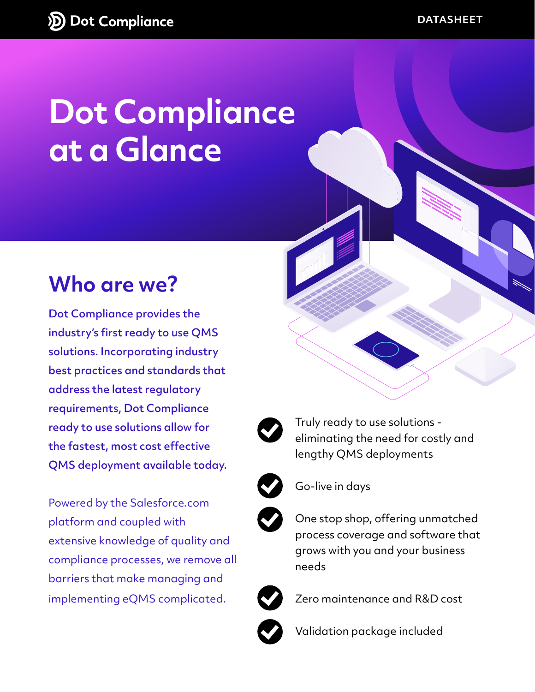# **Dot Compliance at a Glance**

#### **Who are we?**

Dot Compliance provides the industry's first ready to use QMS solutions. Incorporating industry best practices and standards that address the latest regulatory requirements, Dot Compliance ready to use solutions allow for the fastest, most cost effective QMS deployment available today.

Powered by the Salesforce.com platform and coupled with extensive knowledge of quality and compliance processes, we remove all barriers that make managing and implementing eQMS complicated.





Truly ready to use solutions eliminating the need for costly and lengthy QMS deployments



Go-live in days



One stop shop, offering unmatched process coverage and software that grows with you and your business needs



Zero maintenance and R&D cost



Validation package included